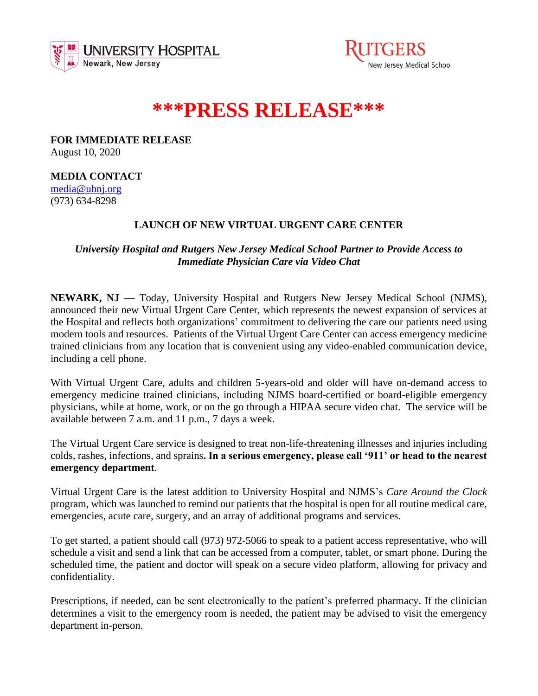



## **\*\*\*PRESS RELEASE\*\*\***

**FOR IMMEDIATE RELEASE** August 10, 2020

**MEDIA CONTACT**

[media@uhnj.org](about:blank) (973) 634-8298

## **LAUNCH OF NEW VIRTUAL URGENT CARE CENTER**

*University Hospital and Rutgers New Jersey Medical School Partner to Provide Access to Immediate Physician Care via Video Chat* 

**NEWARK, NJ —** Today, University Hospital and Rutgers New Jersey Medical School (NJMS), announced their new Virtual Urgent Care Center, which represents the newest expansion of services at the Hospital and reflects both organizations' commitment to delivering the care our patients need using modern tools and resources. Patients of the Virtual Urgent Care Center can access emergency medicine trained clinicians from any location that is convenient using any video-enabled communication device, including a cell phone.

With Virtual Urgent Care, adults and children 5-years-old and older will have on-demand access to emergency medicine trained clinicians, including NJMS board-certified or board-eligible emergency physicians, while at home, work, or on the go through a HIPAA secure video chat. The service will be available between 7 a.m. and 11 p.m., 7 days a week.

The Virtual Urgent Care service is designed to treat non-life-threatening illnesses and injuries including colds, rashes, infections, and sprains**. In a serious emergency, please call '911' or head to the nearest emergency department**.

Virtual Urgent Care is the latest addition to University Hospital and NJMS's *Care Around the Clock* program, which was launched to remind our patients that the hospital is open for all routine medical care, emergencies, acute care, surgery, and an array of additional programs and services.

To get started, a patient should call (973) 972-5066 to speak to a patient access representative, who will schedule a visit and send a link that can be accessed from a computer, tablet, or smart phone. During the scheduled time, the patient and doctor will speak on a secure video platform, allowing for privacy and confidentiality.

Prescriptions, if needed, can be sent electronically to the patient's preferred pharmacy. If the clinician determines a visit to the emergency room is needed, the patient may be advised to visit the emergency department in-person.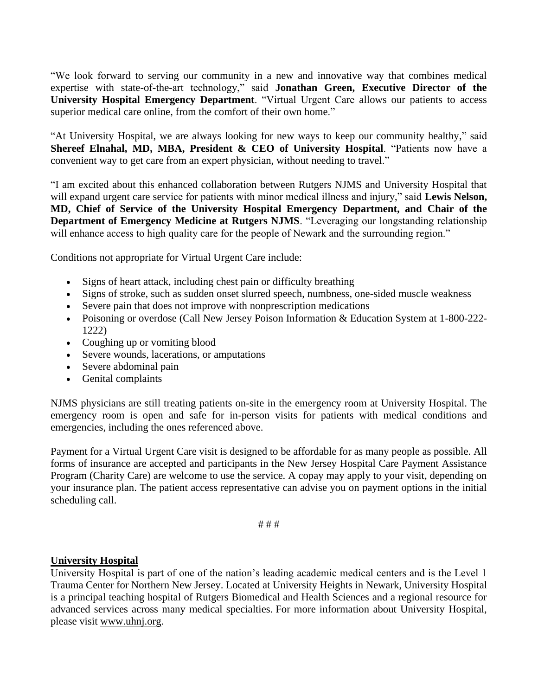"We look forward to serving our community in a new and innovative way that combines medical expertise with state-of-the-art technology," said **Jonathan Green, Executive Director of the University Hospital Emergency Department**. "Virtual Urgent Care allows our patients to access superior medical care online, from the comfort of their own home."

"At University Hospital, we are always looking for new ways to keep our community healthy," said **Shereef Elnahal, MD, MBA, President & CEO of University Hospital**. "Patients now have a convenient way to get care from an expert physician, without needing to travel."

"I am excited about this enhanced collaboration between Rutgers NJMS and University Hospital that will expand urgent care service for patients with minor medical illness and injury," said **Lewis Nelson, MD, Chief of Service of the University Hospital Emergency Department, and Chair of the Department of Emergency Medicine at Rutgers NJMS**. "Leveraging our longstanding relationship will enhance access to high quality care for the people of Newark and the surrounding region."

Conditions not appropriate for Virtual Urgent Care include:

- Signs of heart attack, including chest pain or difficulty breathing
- Signs of stroke, such as sudden onset slurred speech, numbness, one-sided muscle weakness
- Severe pain that does not improve with nonprescription medications
- Poisoning or overdose (Call New Jersey Poison Information & Education System at 1-800-222- 1222)
- Coughing up or vomiting blood
- Severe wounds, lacerations, or amputations
- Severe abdominal pain
- Genital complaints

NJMS physicians are still treating patients on-site in the emergency room at University Hospital. The emergency room is open and safe for in-person visits for patients with medical conditions and emergencies, including the ones referenced above.

Payment for a Virtual Urgent Care visit is designed to be affordable for as many people as possible. All forms of insurance are accepted and participants in the New Jersey Hospital Care Payment Assistance Program (Charity Care) are welcome to use the service. A copay may apply to your visit, depending on your insurance plan. The patient access representative can advise you on payment options in the initial scheduling call.

# # #

## **University Hospital**

University Hospital is part of one of the nation's leading academic medical centers and is the Level 1 Trauma Center for Northern New Jersey. Located at University Heights in Newark, University Hospital is a principal teaching hospital of Rutgers Biomedical and Health Sciences and a regional resource for advanced services across many medical specialties. For more information about University Hospital, please visit [www.uhnj.org.](about:blank)